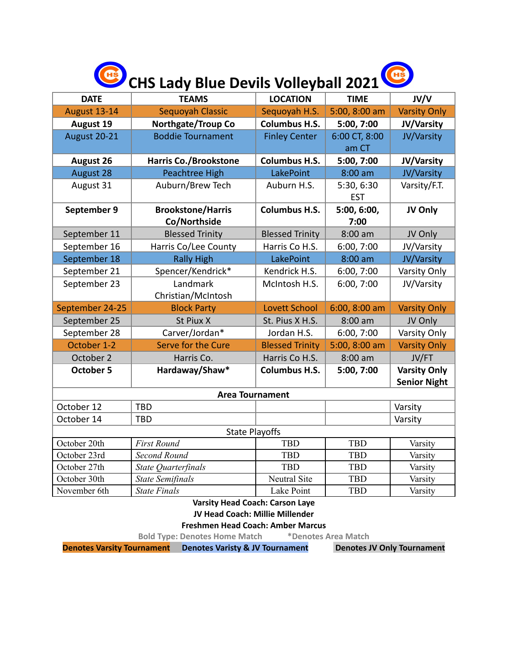| CHS Lady Blue Devils Volleyball 2021 |  |
|--------------------------------------|--|
|                                      |  |

| <b>DATE</b>           | <b>TEAMS</b>                 | <b>LOCATION</b>        | <b>TIME</b>   | <b>JV/V</b>         |  |  |  |  |  |
|-----------------------|------------------------------|------------------------|---------------|---------------------|--|--|--|--|--|
| August 13-14          | Sequoyah Classic             | Sequoyah H.S.          | 5:00, 8:00 am | <b>Varsity Only</b> |  |  |  |  |  |
| <b>August 19</b>      | <b>Northgate/Troup Co</b>    | <b>Columbus H.S.</b>   | 5:00, 7:00    | JV/Varsity          |  |  |  |  |  |
| August 20-21          | <b>Boddie Tournament</b>     | <b>Finley Center</b>   | 6:00 CT, 8:00 | JV/Varsity          |  |  |  |  |  |
|                       |                              |                        | am CT         |                     |  |  |  |  |  |
| <b>August 26</b>      | <b>Harris Co./Brookstone</b> | <b>Columbus H.S.</b>   | 5:00, 7:00    | JV/Varsity          |  |  |  |  |  |
| <b>August 28</b>      | <b>Peachtree High</b>        | LakePoint              | $8:00$ am     | JV/Varsity          |  |  |  |  |  |
| August 31             | Auburn/Brew Tech             | Auburn H.S.            | 5:30, 6:30    | Varsity/F.T.        |  |  |  |  |  |
|                       |                              |                        | <b>EST</b>    |                     |  |  |  |  |  |
| September 9           | <b>Brookstone/Harris</b>     | <b>Columbus H.S.</b>   | 5:00, 6:00,   | JV Only             |  |  |  |  |  |
|                       | Co/Northside                 |                        | 7:00          |                     |  |  |  |  |  |
| September 11          | <b>Blessed Trinity</b>       | <b>Blessed Trinity</b> | $8:00$ am     | JV Only             |  |  |  |  |  |
| September 16          | Harris Co/Lee County         | Harris Co H.S.         | 6:00, 7:00    | JV/Varsity          |  |  |  |  |  |
| September 18          | <b>Rally High</b>            | LakePoint              | $8:00$ am     | JV/Varsity          |  |  |  |  |  |
| September 21          | Spencer/Kendrick*            | Kendrick H.S.          | 6:00, 7:00    | Varsity Only        |  |  |  |  |  |
| September 23          | Landmark                     | McIntosh H.S.          | 6:00, 7:00    | JV/Varsity          |  |  |  |  |  |
|                       | Christian/McIntosh           |                        |               |                     |  |  |  |  |  |
| September 24-25       | <b>Block Party</b>           | <b>Lovett School</b>   | 6:00, 8:00 am | <b>Varsity Only</b> |  |  |  |  |  |
| September 25          | St Piux X                    | St. Pius X H.S.        | $8:00$ am     | JV Only             |  |  |  |  |  |
| September 28          | Carver/Jordan*               | Jordan H.S.            | 6:00, 7:00    | Varsity Only        |  |  |  |  |  |
| October 1-2           | Serve for the Cure           | <b>Blessed Trinity</b> | 5:00, 8:00 am | <b>Varsity Only</b> |  |  |  |  |  |
| October 2             | Harris Co.                   | Harris Co H.S.         | $8:00$ am     | JV/FT               |  |  |  |  |  |
| <b>October 5</b>      | Hardaway/Shaw*               | <b>Columbus H.S.</b>   | 5:00, 7:00    | <b>Varsity Only</b> |  |  |  |  |  |
|                       |                              |                        |               | <b>Senior Night</b> |  |  |  |  |  |
|                       | <b>Area Tournament</b>       |                        |               |                     |  |  |  |  |  |
| October 12            | TBD                          |                        |               | Varsity             |  |  |  |  |  |
| October 14            | <b>TBD</b>                   |                        |               | Varsity             |  |  |  |  |  |
| <b>State Playoffs</b> |                              |                        |               |                     |  |  |  |  |  |
| October 20th          | <b>First Round</b>           | <b>TBD</b>             | <b>TBD</b>    | Varsity             |  |  |  |  |  |
| October 23rd          | Second Round                 | <b>TBD</b>             | <b>TBD</b>    | Varsity             |  |  |  |  |  |
| October 27th          | State Quarterfinals          | <b>TBD</b>             | <b>TBD</b>    | Varsity             |  |  |  |  |  |
| October 30th          | <b>State Semifinals</b>      | Neutral Site           | <b>TBD</b>    | Varsity             |  |  |  |  |  |
| November 6th          | <b>State Finals</b>          | Lake Point             | <b>TBD</b>    | Varsity             |  |  |  |  |  |

**Varsity Head Coach: Carson Laye JV Head Coach: Millie Millender**

## **Freshmen Head Coach: Amber Marcus**

**Bold Type: Denotes Home Match \*Denotes Area Match**

**Denotes Varsity Tournament Denotes Varisty & JV Tournament**